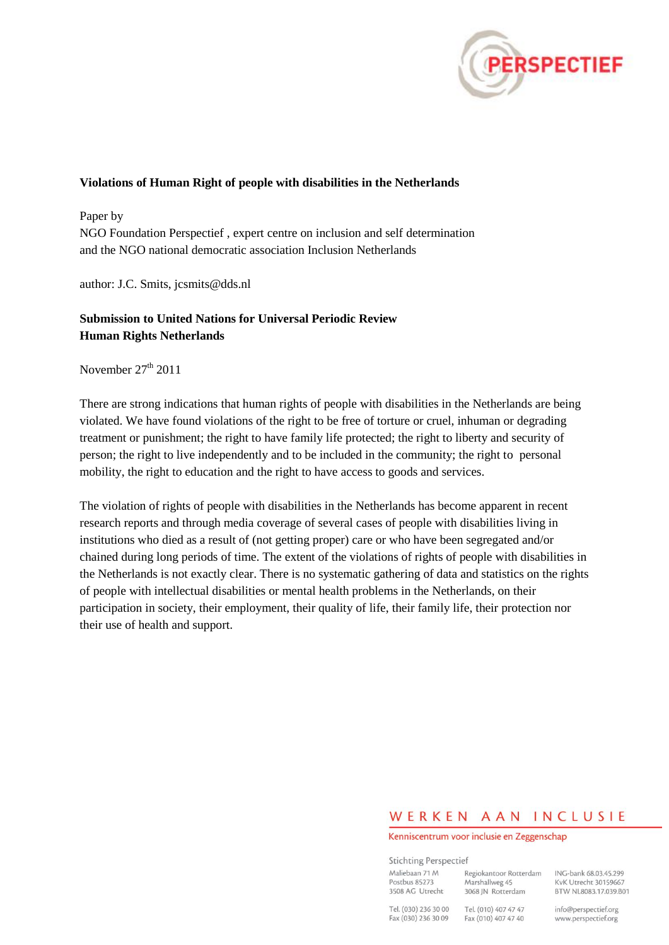

#### **Violations of Human Right of people with disabilities in the Netherlands**

Paper by NGO Foundation Perspectief , expert centre on inclusion and self determination and the NGO national democratic association Inclusion Netherlands

author: J.C. Smits, jcsmits@dds.nl

## **Submission to United Nations for Universal Periodic Review Human Rights Netherlands**

November  $27<sup>th</sup>$  2011

There are strong indications that human rights of people with disabilities in the Netherlands are being violated. We have found violations of the right to be free of torture or cruel, inhuman or degrading treatment or punishment; the right to have family life protected; the right to liberty and security of person; the right to live independently and to be included in the community; the right to personal mobility, the right to education and the right to have access to goods and services.

The violation of rights of people with disabilities in the Netherlands has become apparent in recent research reports and through media coverage of several cases of people with disabilities living in institutions who died as a result of (not getting proper) care or who have been segregated and/or chained during long periods of time. The extent of the violations of rights of people with disabilities in the Netherlands is not exactly clear. There is no systematic gathering of data and statistics on the rights of people with intellectual disabilities or mental health problems in the Netherlands, on their participation in society, their employment, their quality of life, their family life, their protection nor their use of health and support.

# WERKEN AAN INCLUSIE

Kenniscentrum voor inclusie en Zeggenschap

**Stichting Perspectief** Maliebaan 71 M Regiokantoor Rotterdam Marshallweg 45 Postbus 85273 3508 AG Utrecht 3068 JN Rotterdam Tel (030) 236 30.00 Tel (010) 407 47 47

ING-bank 68.03.45.299 KvK Utrecht 30159667 BTW NL8083.17.039.B01

Fax (030) 236 30 09

Fax (010) 407 47 40

info@perspectief.org www.perspectief.org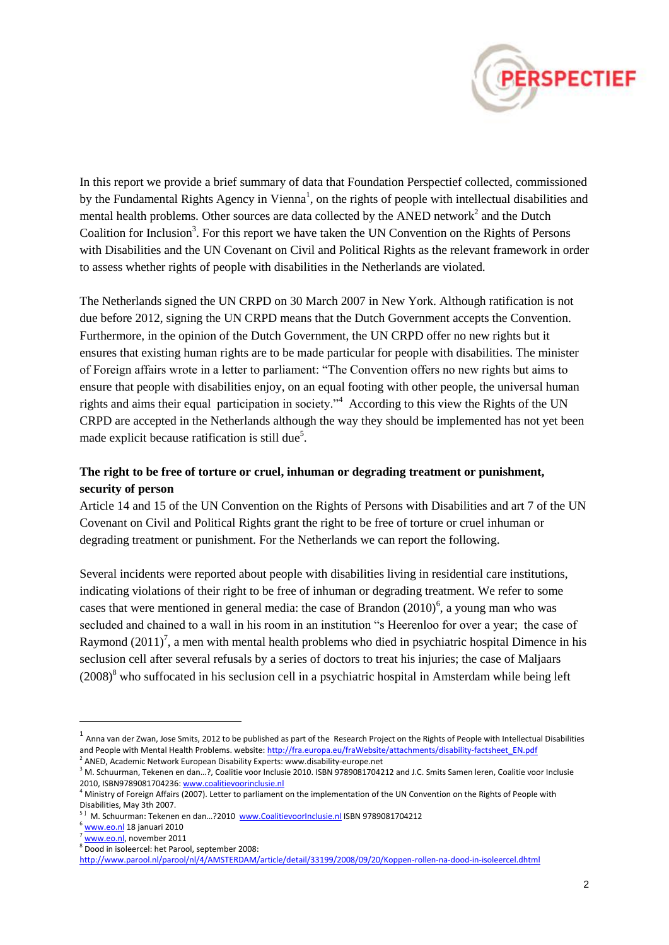

In this report we provide a brief summary of data that Foundation Perspectief collected, commissioned by the Fundamental Rights Agency in Vienna<sup>1</sup>, on the rights of people with intellectual disabilities and mental health problems. Other sources are data collected by the ANED network<sup>2</sup> and the Dutch Coalition for Inclusion<sup>3</sup>. For this report we have taken the UN Convention on the Rights of Persons with Disabilities and the UN Covenant on Civil and Political Rights as the relevant framework in order to assess whether rights of people with disabilities in the Netherlands are violated.

The Netherlands signed the UN CRPD on 30 March 2007 in New York. Although ratification is not due before 2012, signing the UN CRPD means that the Dutch Government accepts the Convention. Furthermore, in the opinion of the Dutch Government, the UN CRPD offer no new rights but it ensures that existing human rights are to be made particular for people with disabilities. The minister of Foreign affairs wrote in a letter to parliament: "The Convention offers no new rights but aims to ensure that people with disabilities enjoy, on an equal footing with other people, the universal human rights and aims their equal participation in society."<sup>4</sup> According to this view the Rights of the UN CRPD are accepted in the Netherlands although the way they should be implemented has not yet been made explicit because ratification is still due<sup>5</sup>.

## **The right to be free of torture or cruel, inhuman or degrading treatment or punishment, security of person**

Article 14 and 15 of the UN Convention on the Rights of Persons with Disabilities and art 7 of the UN Covenant on Civil and Political Rights grant the right to be free of torture or cruel inhuman or degrading treatment or punishment. For the Netherlands we can report the following.

Several incidents were reported about people with disabilities living in residential care institutions, indicating violations of their right to be free of inhuman or degrading treatment. We refer to some cases that were mentioned in general media: the case of Brandon  $(2010)^6$ , a young man who was secluded and chained to a wall in his room in an institution "s Heerenloo for over a year; the case of Raymond  $(2011)^7$ , a men with mental health problems who died in psychiatric hospital Dimence in his seclusion cell after several refusals by a series of doctors to treat his injuries; the case of Maljaars  $(2008)^8$  who suffocated in his seclusion cell in a psychiatric hospital in Amsterdam while being left

 $^1$  Anna van der Zwan, Jose Smits, 2012 to be published as part of the Research Project on the Rights of People with Intellectual Disabilities and People with Mental Health Problems. website[: http://fra.europa.eu/fraWebsite/attachments/disability-factsheet\\_EN.pdf](http://fra.europa.eu/fraWebsite/attachments/disability-factsheet_EN.pdf) <sup>2</sup> ANED, Academic Network European Disability Experts: www.disability-europe.net

<sup>&</sup>lt;sup>3</sup> M. Schuurman, Tekenen en dan...?, Coalitie voor Inclusie 2010. ISBN 9789081704212 and J.C. Smits Samen leren, Coalitie voor Inclusie 2010, ISBN9789081704236[: www.coalitievoorinclusie.nl](http://www.coalitievoorinclusie.nl/)

<sup>&</sup>lt;sup>4</sup> Ministry of Foreign Affairs (2007). Letter to parliament on the implementation of the UN Convention on the Rights of People with Disabilities, May 3th 2007.

<sup>&</sup>lt;sup>5 ]</sup> M. Schuurman: Tekenen en dan...?2010 [www.CoalitievoorInclusie.nl](http://www.coalitievoorinclusie.nl/) ISBN 9789081704212

 $<sup>6</sup>$  [www.eo.nl](http://www.eo.nl/) 18 januari 2010</sup>

[www.eo.nl,](http://www.eo.nl/) november 2011

<sup>8</sup> Dood in isoleercel: het Parool, september 2008:

<http://www.parool.nl/parool/nl/4/AMSTERDAM/article/detail/33199/2008/09/20/Koppen-rollen-na-dood-in-isoleercel.dhtml>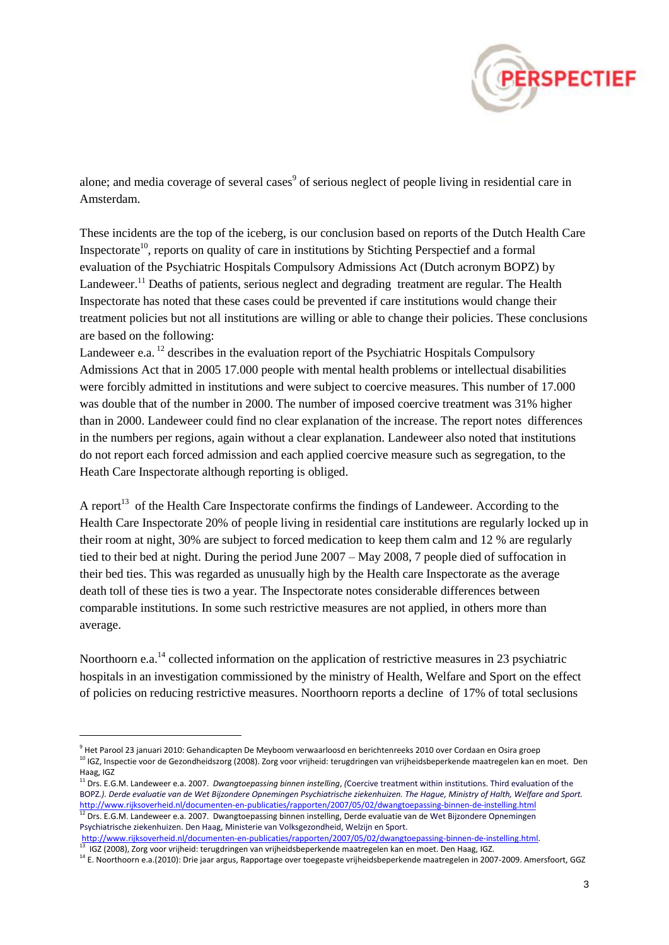

alone; and media coverage of several cases<sup>9</sup> of serious neglect of people living in residential care in Amsterdam.

These incidents are the top of the iceberg, is our conclusion based on reports of the Dutch Health Care Inspectorate<sup>10</sup>, reports on quality of care in institutions by Stichting Perspectief and a formal evaluation of the Psychiatric Hospitals Compulsory Admissions Act (Dutch acronym BOPZ) by Landeweer.<sup>11</sup> Deaths of patients, serious neglect and degrading treatment are regular. The Health Inspectorate has noted that these cases could be prevented if care institutions would change their treatment policies but not all institutions are willing or able to change their policies. These conclusions are based on the following:

Landeweer e.a.  $^{12}$  describes in the evaluation report of the Psychiatric Hospitals Compulsory Admissions Act that in 2005 17.000 people with mental health problems or intellectual disabilities were forcibly admitted in institutions and were subject to coercive measures. This number of 17.000 was double that of the number in 2000. The number of imposed coercive treatment was 31% higher than in 2000. Landeweer could find no clear explanation of the increase. The report notes differences in the numbers per regions, again without a clear explanation. Landeweer also noted that institutions do not report each forced admission and each applied coercive measure such as segregation, to the Heath Care Inspectorate although reporting is obliged.

A report<sup>13</sup> of the Health Care Inspectorate confirms the findings of Landeweer. According to the Health Care Inspectorate 20% of people living in residential care institutions are regularly locked up in their room at night, 30% are subject to forced medication to keep them calm and 12 % are regularly tied to their bed at night. During the period June 2007 – May 2008, 7 people died of suffocation in their bed ties. This was regarded as unusually high by the Health care Inspectorate as the average death toll of these ties is two a year. The Inspectorate notes considerable differences between comparable institutions. In some such restrictive measures are not applied, in others more than average.

Noorthoorn e.a.<sup>14</sup> collected information on the application of restrictive measures in 23 psychiatric hospitals in an investigation commissioned by the ministry of Health, Welfare and Sport on the effect of policies on reducing restrictive measures. Noorthoorn reports a decline of 17% of total seclusions

Psychiatrische ziekenhuizen. Den Haag, Ministerie van Volksgezondheid, Welzijn en Sport.

http://www.rijksoverheid.nl/documenten-en-publicaties/rapporten/2007/05/02/dwangtoepassing-binnen-de-instelling.html<br><sup>13</sup> JCZ (2009), Zers vees vrijheid: terusdringen van vrijheidsbenerkende mestegelen kan en meet. Den Hee IGZ (2008), Zorg voor vrijheid: terugdringen van vrijheidsbeperkende maatregelen kan en moet. Den Haag, IGZ.

<sup>&</sup>lt;sup>9</sup> Het Parool 23 januari 2010: Gehandicapten De Meyboom verwaarloosd en berichtenreeks 2010 over Cordaan en Osira groep <sup>10</sup> IGZ, Inspectie voor de Gezondheidszorg (2008). Zorg voor vrijheid: terugdringen van vrijheidsbeperkende maatregelen kan en moet. Den Haag, IGZ

<sup>11</sup> Drs. E.G.M. Landeweer e.a. 2007. *Dwangtoepassing binnen instelling*, *(*Coercive treatment within institutions. Third evaluation of the BOPZ*.). Derde evaluatie van de Wet Bijzondere Opnemingen Psychiatrische ziekenhuizen. The Hague, Ministry of Halth, Welfare and Sport.* <http://www.rijksoverheid.nl/documenten-en-publicaties/rapporten/2007/05/02/dwangtoepassing-binnen-de-instelling.html>  $^{12}$  Drs. E.G.M. Landeweer e.a. 2007. Dwangtoepassing binnen instelling, Derde evaluatie van de Wet Bijzondere Opnemingen

<sup>&</sup>lt;sup>14</sup> E. Noorthoorn e.a.(2010): Drie jaar argus, Rapportage over toegepaste vrijheidsbeperkende maatregelen in 2007-2009. Amersfoort, GGZ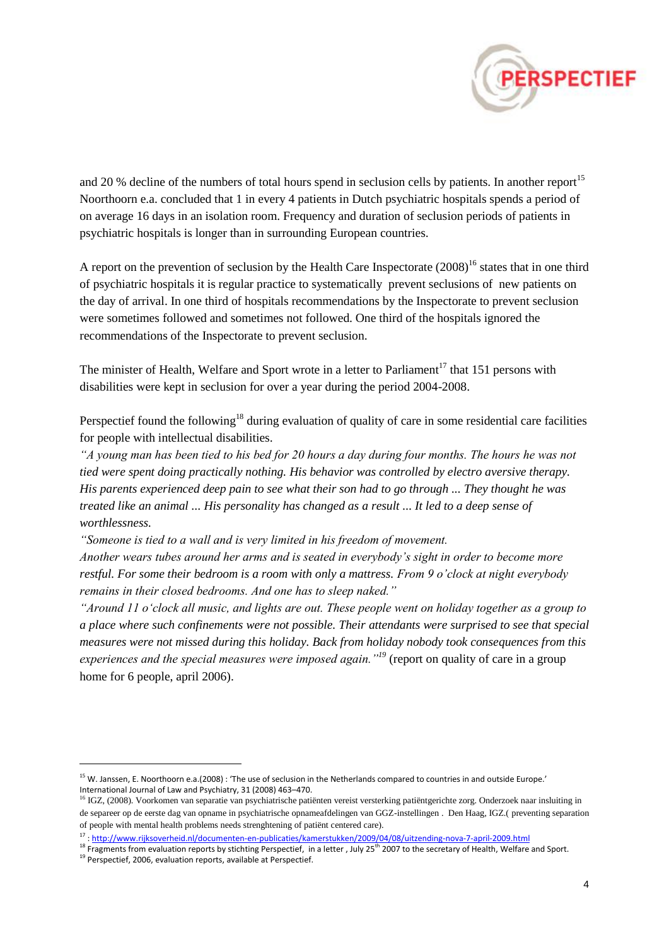

and 20 % decline of the numbers of total hours spend in seclusion cells by patients. In another report<sup>15</sup> Noorthoorn e.a. concluded that 1 in every 4 patients in Dutch psychiatric hospitals spends a period of on average 16 days in an isolation room. Frequency and duration of seclusion periods of patients in psychiatric hospitals is longer than in surrounding European countries.

A report on the prevention of seclusion by the Health Care Inspectorate  $(2008)^{16}$  states that in one third of psychiatric hospitals it is regular practice to systematically prevent seclusions of new patients on the day of arrival. In one third of hospitals recommendations by the Inspectorate to prevent seclusion were sometimes followed and sometimes not followed. One third of the hospitals ignored the recommendations of the Inspectorate to prevent seclusion.

The minister of Health, Welfare and Sport wrote in a letter to Parliament<sup>17</sup> that 151 persons with disabilities were kept in seclusion for over a year during the period 2004-2008.

Perspectief found the following<sup>18</sup> during evaluation of quality of care in some residential care facilities for people with intellectual disabilities.

*"A young man has been tied to his bed for 20 hours a day during four months. The hours he was not tied were spent doing practically nothing. His behavior was controlled by electro aversive therapy. His parents experienced deep pain to see what their son had to go through ... They thought he was treated like an animal ... His personality has changed as a result ... It led to a deep sense of worthlessness.*

*"Someone is tied to a wall and is very limited in his freedom of movement.* 

*Another wears tubes around her arms and is seated in everybody"s sight in order to become more restful. For some their bedroom is a room with only a mattress. From 9 o"clock at night everybody remains in their closed bedrooms. And one has to sleep naked."*

*"Around 11 o"clock all music, and lights are out. These people went on holiday together as a group to a place where such confinements were not possible. Their attendants were surprised to see that special measures were not missed during this holiday. Back from holiday nobody took consequences from this experiences and the special measures were imposed again."<sup>19</sup>* (report on quality of care in a group home for 6 people, april 2006).

<sup>&</sup>lt;sup>15</sup> W. Janssen, E. Noorthoorn e.a.(2008) : 'The use of seclusion in the Netherlands compared to countries in and outside Europe.' International Journal of Law and Psychiatry, 31 (2008) 463–470.

<sup>&</sup>lt;sup>16</sup> IGZ, (2008). Voorkomen van separatie van psychiatrische patiënten vereist versterking patiëntgerichte zorg. Onderzoek naar insluiting in de separeer op de eerste dag van opname in psychiatrische opnameafdelingen van GGZ-instellingen . Den Haag, IGZ.( preventing separation of people with mental health problems needs strenghtening of patiënt centered care).

<sup>17</sup> [: http://www.rijksoverheid.nl/documenten-en-publicaties/kamerstukken/2009/04/08/uitzending-nova-7-april-2009.html](http://www.rijksoverheid.nl/documenten-en-publicaties/kamerstukken/2009/04/08/uitzending-nova-7-april-2009.html)

<sup>18</sup> Fragments from evaluation reports by stichting Perspectief, in a letter , July 25<sup>th</sup> 2007 to the secretary of Health, Welfare and Sport.

<sup>&</sup>lt;sup>19</sup> Perspectief, 2006, evaluation reports, available at Perspectief.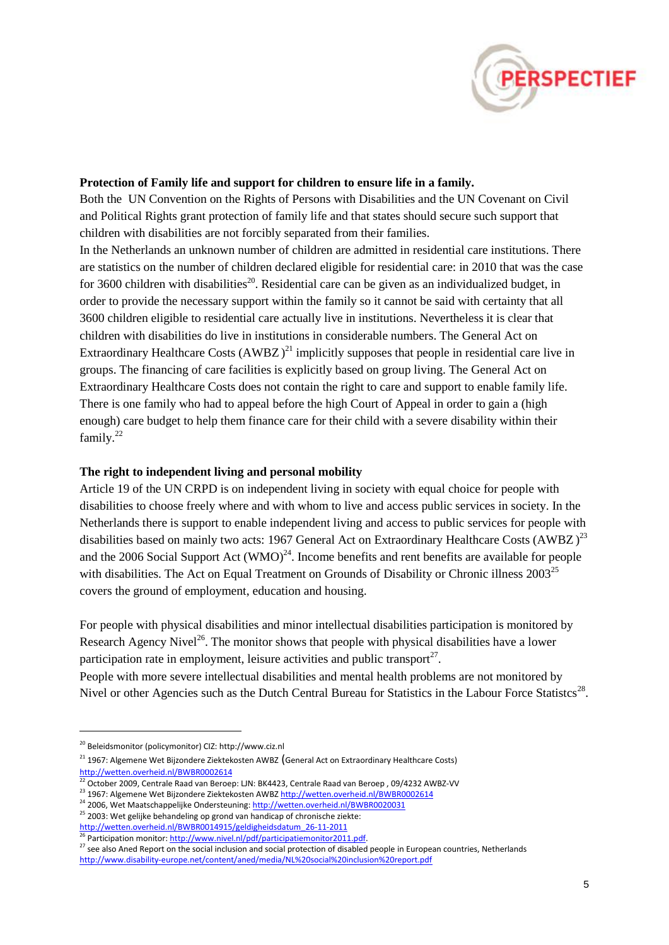

#### **Protection of Family life and support for children to ensure life in a family.**

Both the UN Convention on the Rights of Persons with Disabilities and the UN Covenant on Civil and Political Rights grant protection of family life and that states should secure such support that children with disabilities are not forcibly separated from their families.

In the Netherlands an unknown number of children are admitted in residential care institutions. There are statistics on the number of children declared eligible for residential care: in 2010 that was the case for 3600 children with disabilities<sup>20</sup>. Residential care can be given as an individualized budget, in order to provide the necessary support within the family so it cannot be said with certainty that all 3600 children eligible to residential care actually live in institutions. Nevertheless it is clear that children with disabilities do live in institutions in considerable numbers. The General Act on Extraordinary Healthcare Costs  $(AWBZ)^{21}$  implicitly supposes that people in residential care live in groups. The financing of care facilities is explicitly based on group living. The General Act on Extraordinary Healthcare Costs does not contain the right to care and support to enable family life. There is one family who had to appeal before the high Court of Appeal in order to gain a (high enough) care budget to help them finance care for their child with a severe disability within their family.<sup>22</sup>

#### **The right to independent living and personal mobility**

Article 19 of the UN CRPD is on independent living in society with equal choice for people with disabilities to choose freely where and with whom to live and access public services in society. In the Netherlands there is support to enable independent living and access to public services for people with disabilities based on mainly two acts: 1967 General Act on Extraordinary Healthcare Costs  $(AWBZ)^{23}$ and the 2006 Social Support Act  $(WMO)^{24}$ . Income benefits and rent benefits are available for people with disabilities. The Act on Equal Treatment on Grounds of Disability or Chronic illness 2003<sup>25</sup> covers the ground of employment, education and housing.

For people with physical disabilities and minor intellectual disabilities participation is monitored by Research Agency Nivel<sup>26</sup>. The monitor shows that people with physical disabilities have a lower participation rate in employment, leisure activities and public transport<sup>27</sup>.

People with more severe intellectual disabilities and mental health problems are not monitored by Nivel or other Agencies such as the Dutch Central Bureau for Statistics in the Labour Force Statistcs<sup>28</sup>.

 $\overline{a}$ 

[http://wetten.overheid.nl/BWBR0014915/geldigheidsdatum\\_26-11-2011](http://wetten.overheid.nl/BWBR0014915/geldigheidsdatum_26-11-2011)

<sup>20</sup> Beleidsmonitor (policymonitor) CIZ: http://www.ciz.nl

<sup>&</sup>lt;sup>21</sup> 1967: Algemene Wet Bijzondere Ziektekosten AWBZ (General Act on Extraordinary Healthcare Costs) <http://wetten.overheid.nl/BWBR0002614>

<sup>22</sup> October 2009, Centrale Raad van Beroep: LJN: BK4423, Centrale Raad van Beroep , 09/4232 AWBZ-VV

<sup>23&</sup>lt;br>23 1967: Algemene Wet Bijzondere Ziektekosten AWBZ<http://wetten.overheid.nl/BWBR0002614>

<sup>&</sup>lt;sup>24</sup> 2006, Wet Maatschappelijke Ondersteuning[: http://wetten.overheid.nl/BWBR0020031](http://wetten.overheid.nl/BWBR0020031)

<sup>25</sup> 2003: Wet gelijke behandeling op grond van handicap of chronische ziekte:

<sup>&</sup>lt;sup>26</sup> Participation monitor[: http://www.nivel.nl/pdf/participatiemonitor2011.pdf.](http://www.nivel.nl/pdf/participatiemonitor2011.pdf)

<sup>27</sup> see also Aned Report on the social inclusion and social protection of disabled people in European countries, Netherlands

<http://www.disability-europe.net/content/aned/media/NL%20social%20inclusion%20report.pdf>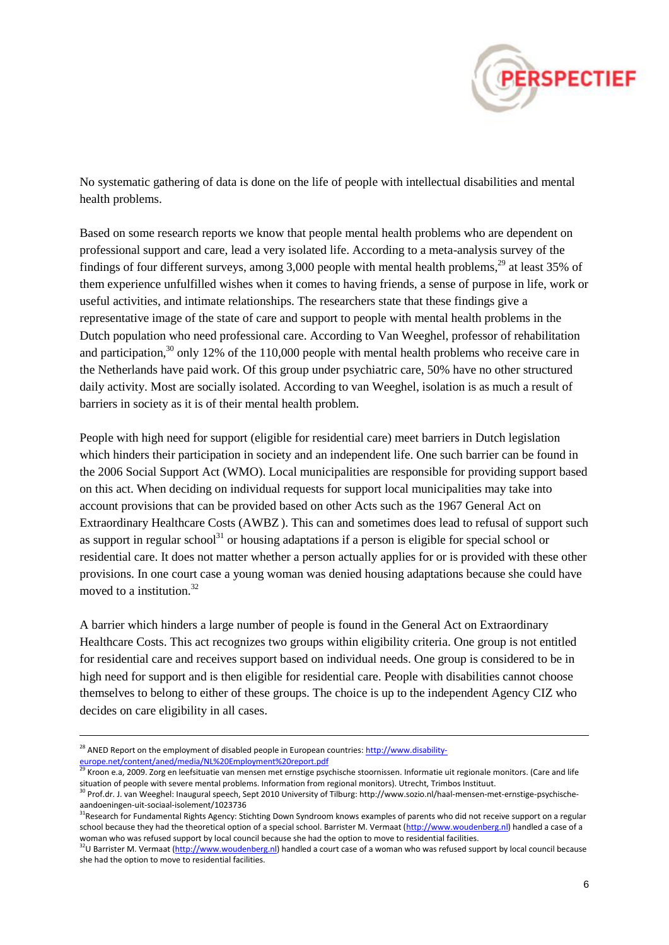

No systematic gathering of data is done on the life of people with intellectual disabilities and mental health problems.

Based on some research reports we know that people mental health problems who are dependent on professional support and care, lead a very isolated life. According to a meta-analysis survey of the findings of four different surveys, among 3,000 people with mental health problems,<sup>29</sup> at least 35% of them experience unfulfilled wishes when it comes to having friends, a sense of purpose in life, work or useful activities, and intimate relationships. The researchers state that these findings give a representative image of the state of care and support to people with mental health problems in the Dutch population who need professional care. According to Van Weeghel, professor of rehabilitation and participation,  $30$  only 12% of the 110,000 people with mental health problems who receive care in the Netherlands have paid work. Of this group under psychiatric care, 50% have no other structured daily activity. Most are socially isolated. According to van Weeghel, isolation is as much a result of barriers in society as it is of their mental health problem.

People with high need for support (eligible for residential care) meet barriers in Dutch legislation which hinders their participation in society and an independent life. One such barrier can be found in the 2006 Social Support Act (WMO). Local municipalities are responsible for providing support based on this act. When deciding on individual requests for support local municipalities may take into account provisions that can be provided based on other Acts such as the 1967 General Act on Extraordinary Healthcare Costs (AWBZ ). This can and sometimes does lead to refusal of support such as support in regular school<sup>31</sup> or housing adaptations if a person is eligible for special school or residential care. It does not matter whether a person actually applies for or is provided with these other provisions. In one court case a young woman was denied housing adaptations because she could have moved to a institution. $32$ 

A barrier which hinders a large number of people is found in the General Act on Extraordinary Healthcare Costs. This act recognizes two groups within eligibility criteria. One group is not entitled for residential care and receives support based on individual needs. One group is considered to be in high need for support and is then eligible for residential care. People with disabilities cannot choose themselves to belong to either of these groups. The choice is up to the independent Agency CIZ who decides on care eligibility in all cases.

<sup>&</sup>lt;sup>28</sup> ANED Report on the employment of disabled people in European countries[: http://www.disability](http://www.disability-europe.net/content/aned/media/NL%20Employment%20report.pdf)[europe.net/content/aned/media/NL%20Employment%20report.pdf](http://www.disability-europe.net/content/aned/media/NL%20Employment%20report.pdf)

 $^{29}$  Kroon e.a, 2009. Zorg en leefsituatie van mensen met ernstige psychische stoornissen. Informatie uit regionale monitors. (Care and life situation of people with severe mental problems. Information from regional monitors). Utrecht, Trimbos Instituut.

<sup>30</sup> Prof.dr. J. van Weeghel: Inaugural speech, Sept 2010 University of Tilburg: http://www.sozio.nl/haal-mensen-met-ernstige-psychischeaandoeningen-uit-sociaal-isolement/1023736

<sup>&</sup>lt;sup>31</sup>Research for Fundamental Rights Agency: Stichting Down Syndroom knows examples of parents who did not receive support on a regular school because they had the theoretical option of a special school. Barrister M. Vermaat [\(http://www.woudenberg.nl\)](http://www.woudenberg.nl/) handled a case of a woman who was refused support by local council because she had the option to move to residential facilities.

<sup>&</sup>lt;sup>32</sup>U Barrister M. Vermaat [\(http://www.woudenberg.nl\)](http://www.woudenberg.nl/) handled a court case of a woman who was refused support by local council because she had the option to move to residential facilities.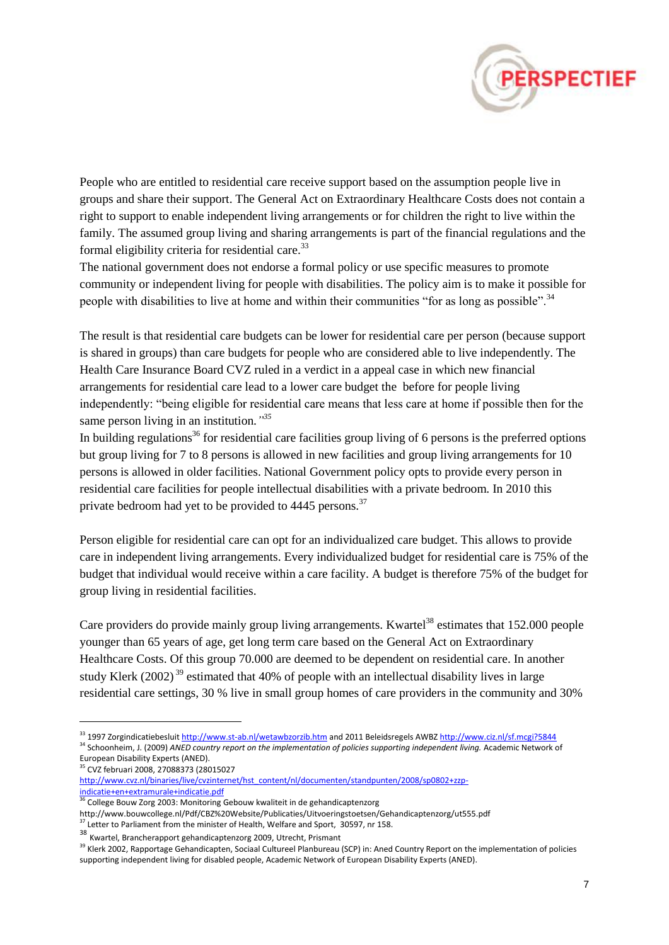

People who are entitled to residential care receive support based on the assumption people live in groups and share their support. The General Act on Extraordinary Healthcare Costs does not contain a right to support to enable independent living arrangements or for children the right to live within the family. The assumed group living and sharing arrangements is part of the financial regulations and the formal eligibility criteria for residential care. $33$ 

The national government does not endorse a formal policy or use specific measures to promote community or independent living for people with disabilities. The policy aim is to make it possible for people with disabilities to live at home and within their communities "for as long as possible".<sup>34</sup>

The result is that residential care budgets can be lower for residential care per person (because support is shared in groups) than care budgets for people who are considered able to live independently. The Health Care Insurance Board CVZ ruled in a verdict in a appeal case in which new financial arrangements for residential care lead to a lower care budget the before for people living independently: "being eligible for residential care means that less care at home if possible then for the same person living in an institution.*" 35*

In building regulations<sup>36</sup> for residential care facilities group living of 6 persons is the preferred options but group living for 7 to 8 persons is allowed in new facilities and group living arrangements for 10 persons is allowed in older facilities. National Government policy opts to provide every person in residential care facilities for people intellectual disabilities with a private bedroom. In 2010 this private bedroom had yet to be provided to 4445 persons.<sup>37</sup>

Person eligible for residential care can opt for an individualized care budget. This allows to provide care in independent living arrangements. Every individualized budget for residential care is 75% of the budget that individual would receive within a care facility. A budget is therefore 75% of the budget for group living in residential facilities.

Care providers do provide mainly group living arrangements. Kwartel<sup>38</sup> estimates that  $152.000$  people younger than 65 years of age, get long term care based on the General Act on Extraordinary Healthcare Costs. Of this group 70.000 are deemed to be dependent on residential care. In another study Klerk (2002)<sup>39</sup> estimated that 40% of people with an intellectual disability lives in large residential care settings, 30 % live in small group homes of care providers in the community and 30%

<sup>34</sup> Schoonheim, J. (2009) *ANED country report on the implementation of policies supporting independent living. Academic Network of* European Disability Experts (ANED). <sup>35</sup> CVZ februari 2008, 27088373 (28015027

[indicatie+en+extramurale+indicatie.pdf](http://www.cvz.nl/binaries/live/cvzinternet/hst_content/nl/documenten/standpunten/2008/sp0802+zzp-indicatie+en+extramurale+indicatie.pdf)

<sup>33</sup> 1997 Zorgindicatiebesluit<http://www.st-ab.nl/wetawbzorzib.htm> and 2011 Beleidsregels AWB[Z http://www.ciz.nl/sf.mcgi?5844](http://www.ciz.nl/sf.mcgi?5844)

[http://www.cvz.nl/binaries/live/cvzinternet/hst\\_content/nl/documenten/standpunten/2008/sp0802+zzp-](http://www.cvz.nl/binaries/live/cvzinternet/hst_content/nl/documenten/standpunten/2008/sp0802+zzp-indicatie+en+extramurale+indicatie.pdf)

<sup>&</sup>lt;sup>36</sup> College Bouw Zorg 2003: Monitoring Gebouw kwaliteit in de gehandicaptenzorg

http://www.bouwcollege.nl/Pdf/CBZ%20Website/Publicaties/Uitvoeringstoetsen/Gehandicaptenzorg/ut555.pdf

<sup>&</sup>lt;sup>37</sup> Letter to Parliament from the minister of Health, Welfare and Sport, 30597, nr 158.

<sup>38</sup> Kwartel, Brancherapport gehandicaptenzorg 2009, Utrecht, Prismant

<sup>39</sup> Klerk 2002, Rapportage Gehandicapten, Sociaal Cultureel Planbureau (SCP) in: Aned Country Report on the implementation of policies supporting independent living for disabled people, Academic Network of European Disability Experts (ANED).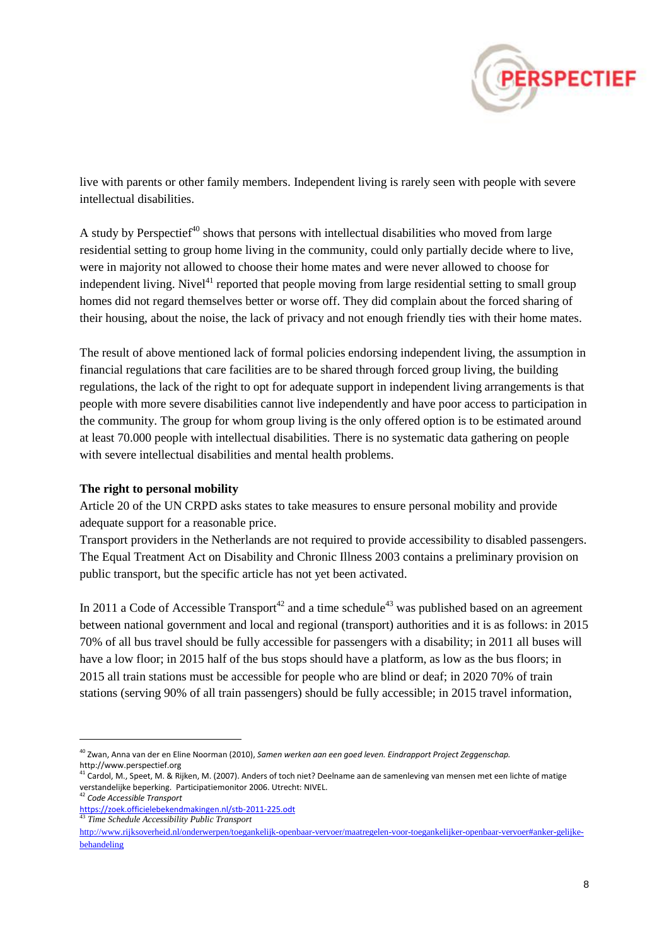

live with parents or other family members. Independent living is rarely seen with people with severe intellectual disabilities.

A study by Perspectief<sup> $40$ </sup> shows that persons with intellectual disabilities who moved from large residential setting to group home living in the community, could only partially decide where to live, were in majority not allowed to choose their home mates and were never allowed to choose for independent living. Nivel<sup> $41$ </sup> reported that people moving from large residential setting to small group homes did not regard themselves better or worse off. They did complain about the forced sharing of their housing, about the noise, the lack of privacy and not enough friendly ties with their home mates.

The result of above mentioned lack of formal policies endorsing independent living, the assumption in financial regulations that care facilities are to be shared through forced group living, the building regulations, the lack of the right to opt for adequate support in independent living arrangements is that people with more severe disabilities cannot live independently and have poor access to participation in the community. The group for whom group living is the only offered option is to be estimated around at least 70.000 people with intellectual disabilities. There is no systematic data gathering on people with severe intellectual disabilities and mental health problems.

### **The right to personal mobility**

Article 20 of the UN CRPD asks states to take measures to ensure personal mobility and provide adequate support for a reasonable price.

Transport providers in the Netherlands are not required to provide accessibility to disabled passengers. The Equal Treatment Act on Disability and Chronic Illness 2003 contains a preliminary provision on public transport, but the specific article has not yet been activated.

In 2011 a Code of Accessible Transport<sup>42</sup> and a time schedule<sup>43</sup> was published based on an agreement between national government and local and regional (transport) authorities and it is as follows: in 2015 70% of all bus travel should be fully accessible for passengers with a disability; in 2011 all buses will have a low floor; in 2015 half of the bus stops should have a platform, as low as the bus floors; in 2015 all train stations must be accessible for people who are blind or deaf; in 2020 70% of train stations (serving 90% of all train passengers) should be fully accessible; in 2015 travel information,

<sup>40</sup> Zwan, Anna van der en Eline Noorman (2010), *Samen werken aan een goed leven. Eindrapport Project Zeggenschap.* http://www.perspectief.org

<sup>&</sup>lt;sup>41</sup> Cardol, M., Speet, M. & Rijken, M. (2007). Anders of toch niet? Deelname aan de samenleving van mensen met een lichte of matige verstandelijke beperking. Participatiemonitor 2006. Utrecht: NIVEL.

<sup>42</sup> *Code Accessible Transport*

<https://zoek.officielebekendmakingen.nl/stb-2011-225.odt> <sup>43</sup> *Time Schedule Accessibility Public Transport*

[http://www.rijksoverheid.nl/onderwerpen/toegankelijk-openbaar-vervoer/maatregelen-voor-toegankelijker-openbaar-vervoer#anker-gelijke](http://www.rijksoverheid.nl/onderwerpen/toegankelijk-openbaar-vervoer/maatregelen-voor-toegankelijker-openbaar-vervoer#anker-gelijke-behandeling)[behandeling](http://www.rijksoverheid.nl/onderwerpen/toegankelijk-openbaar-vervoer/maatregelen-voor-toegankelijker-openbaar-vervoer#anker-gelijke-behandeling)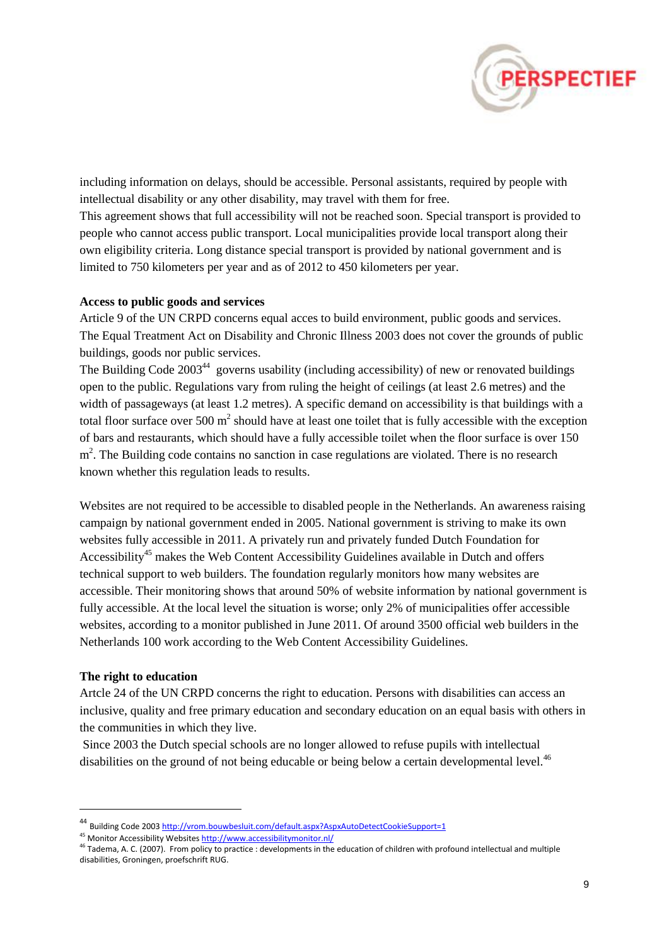

including information on delays, should be accessible. Personal assistants, required by people with intellectual disability or any other disability, may travel with them for free.

This agreement shows that full accessibility will not be reached soon. Special transport is provided to people who cannot access public transport. Local municipalities provide local transport along their own eligibility criteria. Long distance special transport is provided by national government and is limited to 750 kilometers per year and as of 2012 to 450 kilometers per year.

#### **Access to public goods and services**

Article 9 of the UN CRPD concerns equal acces to build environment, public goods and services. The Equal Treatment Act on Disability and Chronic Illness 2003 does not cover the grounds of public buildings, goods nor public services.

The Building Code 2003<sup>44</sup> governs usability (including accessibility) of new or renovated buildings open to the public. Regulations vary from ruling the height of ceilings (at least 2.6 metres) and the width of passageways (at least 1.2 metres). A specific demand on accessibility is that buildings with a total floor surface over 500  $m^2$  should have at least one toilet that is fully accessible with the exception of bars and restaurants, which should have a fully accessible toilet when the floor surface is over 150 m<sup>2</sup>. The Building code contains no sanction in case regulations are violated. There is no research known whether this regulation leads to results.

Websites are not required to be accessible to disabled people in the Netherlands. An awareness raising campaign by national government ended in 2005. National government is striving to make its own websites fully accessible in 2011. A privately run and privately funded Dutch Foundation for Accessibility<sup>45</sup> makes the Web Content Accessibility Guidelines available in Dutch and offers technical support to web builders. The foundation regularly monitors how many websites are accessible. Their monitoring shows that around 50% of website information by national government is fully accessible. At the local level the situation is worse; only 2% of municipalities offer accessible websites, according to a monitor published in June 2011. Of around 3500 official web builders in the Netherlands 100 work according to the Web Content Accessibility Guidelines.

#### **The right to education**

 $\overline{a}$ 

Artcle 24 of the UN CRPD concerns the right to education. Persons with disabilities can access an inclusive, quality and free primary education and secondary education on an equal basis with others in the communities in which they live.

Since 2003 the Dutch special schools are no longer allowed to refuse pupils with intellectual disabilities on the ground of not being educable or being below a certain developmental level.<sup>46</sup>

<sup>44</sup> Building Code 2003 <http://vrom.bouwbesluit.com/default.aspx?AspxAutoDetectCookieSupport=1>

<sup>45</sup> Monitor Accessibility Website[s http://www.accessibilitymonitor.nl/](http://www.accessibilitymonitor.nl/)

<sup>46</sup> Tadema, A. C. (2007). From policy to practice : developments in the education of children with profound intellectual and multiple disabilities, Groningen, proefschrift RUG.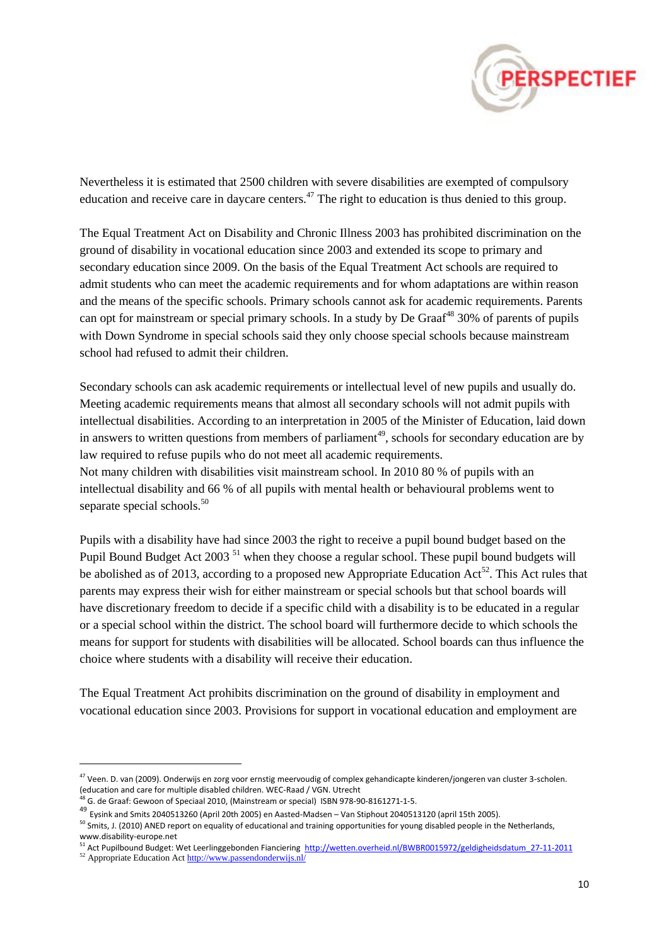

Nevertheless it is estimated that 2500 children with severe disabilities are exempted of compulsory education and receive care in daycare centers.<sup>47</sup> The right to education is thus denied to this group.

The Equal Treatment Act on Disability and Chronic Illness 2003 has prohibited discrimination on the ground of disability in vocational education since 2003 and extended its scope to primary and secondary education since 2009. On the basis of the Equal Treatment Act schools are required to admit students who can meet the academic requirements and for whom adaptations are within reason and the means of the specific schools. Primary schools cannot ask for academic requirements. Parents can opt for mainstream or special primary schools. In a study by De Graaf<sup>48</sup> 30% of parents of pupils with Down Syndrome in special schools said they only choose special schools because mainstream school had refused to admit their children.

Secondary schools can ask academic requirements or intellectual level of new pupils and usually do. Meeting academic requirements means that almost all secondary schools will not admit pupils with intellectual disabilities. According to an interpretation in 2005 of the Minister of Education, laid down in answers to written questions from members of parliament<sup>49</sup>, schools for secondary education are by law required to refuse pupils who do not meet all academic requirements. Not many children with disabilities visit mainstream school. In 2010 80 % of pupils with an intellectual disability and 66 % of all pupils with mental health or behavioural problems went to separate special schools.<sup>50</sup>

Pupils with a disability have had since 2003 the right to receive a pupil bound budget based on the Pupil Bound Budget Act 2003<sup>51</sup> when they choose a regular school. These pupil bound budgets will be abolished as of 2013, according to a proposed new Appropriate Education  $Act^{52}$ . This Act rules that parents may express their wish for either mainstream or special schools but that school boards will have discretionary freedom to decide if a specific child with a disability is to be educated in a regular or a special school within the district. The school board will furthermore decide to which schools the means for support for students with disabilities will be allocated. School boards can thus influence the choice where students with a disability will receive their education.

The Equal Treatment Act prohibits discrimination on the ground of disability in employment and vocational education since 2003. Provisions for support in vocational education and employment are

<sup>&</sup>lt;sup>47</sup> Veen. D. van (2009). Onderwijs en zorg voor ernstig meervoudig of complex gehandicapte kinderen/jongeren van cluster 3-scholen. (education and care for multiple disabled children. WEC-Raad / VGN. Utrecht

 $\overline{4}$  G. de Graaf: Gewoon of Speciaal 2010, (Mainstream or special) ISBN 978-90-8161271-1-5.

<sup>49</sup> Eysink and Smits 2040513260 (April 20th 2005) en Aasted-Madsen – Van Stiphout 2040513120 (april 15th 2005).

 $50$  Smits, J. (2010) ANED report on equality of educational and training opportunities for young disabled people in the Netherlands, www.disability-europe.net

<sup>&</sup>lt;sub>51</sub> Act Pupilbound Budget: Wet Leerlinggebonden Fianciering [http://wetten.overheid.nl/BWBR0015972/geldigheidsdatum\\_27-11-2011](http://wetten.overheid.nl/BWBR0015972/geldigheidsdatum_27-11-2011)

<sup>52</sup> Appropriate Education Ac[t http://www.passendonderwijs.nl/](http://www.passendonderwijs.nl/)